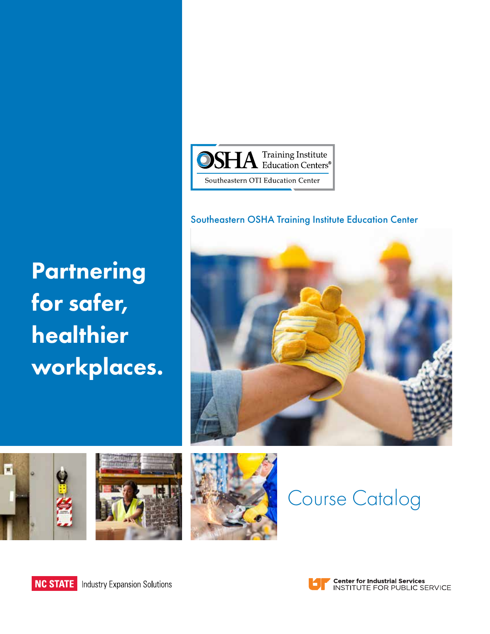

#### Southeastern OSHA Training Institute Education Center

**Partnering** for safer, healthier workplaces.











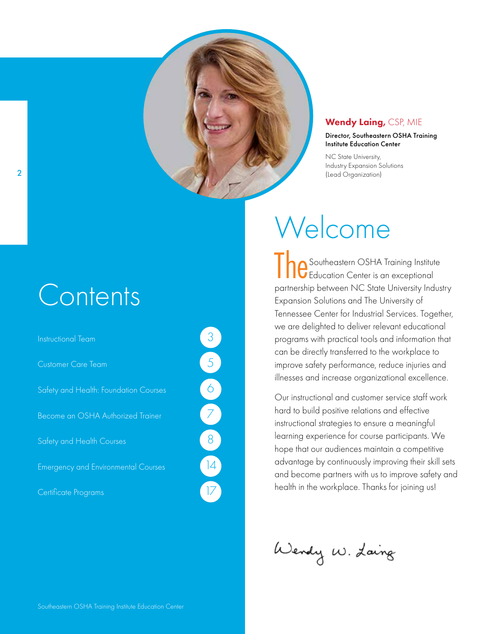

#### Wendy Laing, CSP, MIE

#### Director, Southeastern OSHA Training Institute Education Center

NC State University, Industry Expansion Solutions (Lead Organization)

# **Contents**

Instructional Team Customer Care Team Safety and Health: Foundation Courses Become an OSHA Authorized Trainer Safety and Health Courses Emergency and Environmental Courses Certificate Programs

# Welcome

The Southeastern OSHA Training Institute partnership between NC State University Industry Expansion Solutions and The University of Tennessee Center for Industrial Services. Together, we are delighted to deliver relevant educational programs with practical tools and information that can be directly transferred to the workplace to improve safety performance, reduce injuries and illnesses and increase organizational excellence.

Our instructional and customer service staff work hard to build positive relations and effective instructional strategies to ensure a meaningful learning experience for course participants. We hope that our audiences maintain a competitive advantage by continuously improving their skill sets and become partners with us to improve safety and health in the workplace. Thanks for joining us!

Wendy W. Laing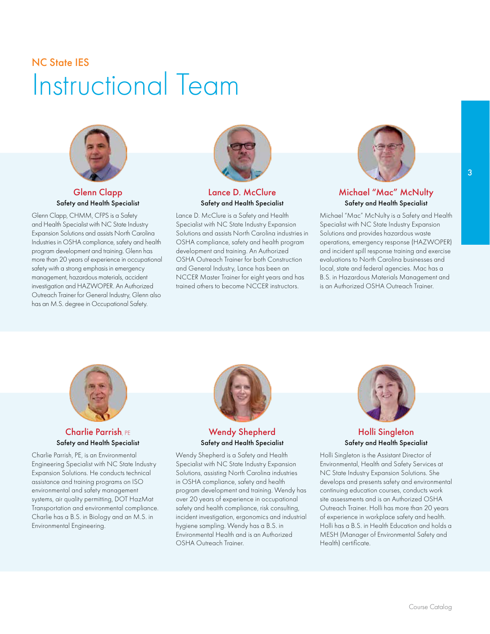### NC State IES Instructional Team



Glenn Clapp Safety and Health Specialist

Glenn Clapp, CHMM, CFPS is a Safety and Health Specialist with NC State Industry Expansion Solutions and assists North Carolina Industries in OSHA compliance, safety and health program development and training. Glenn has more than 20 years of experience in occupational safety with a strong emphasis in emergency management, hazardous materials, accident investigation and HAZWOPER. An Authorized Outreach Trainer for General Industry, Glenn also has an M.S. degree in Occupational Safety.



Lance D. McClure Safety and Health Specialist

Lance D. McClure is a Safety and Health Specialist with NC State Industry Expansion Solutions and assists North Carolina industries in OSHA compliance, safety and health program development and training. An Authorized OSHA Outreach Trainer for both Construction and General Industry, Lance has been an NCCER Master Trainer for eight years and has trained others to become NCCER instructors.



Michael "Mac" McNulty Safety and Health Specialist

Michael "Mac" McNulty is a Safety and Health Specialist with NC State Industry Expansion Solutions and provides hazardous waste operations, emergency response (HAZWOPER) and incident spill response training and exercise evaluations to North Carolina businesses and local, state and federal agencies. Mac has a B.S. in Hazardous Materials Management and is an Authorized OSHA Outreach Trainer.



#### Charlie Parrish, PE Safety and Health Specialist

Charlie Parrish, PE, is an Environmental Engineering Specialist with NC State Industry Expansion Solutions. He conducts technical assistance and training programs on ISO environmental and safety management systems, air quality permitting, DOT HazMat Transportation and environmental compliance. Charlie has a B.S. in Biology and an M.S. in Environmental Engineering.



#### Wendy Shepherd Safety and Health Specialist

Wendy Shepherd is a Safety and Health Specialist with NC State Industry Expansion Solutions, assisting North Carolina industries in OSHA compliance, safety and health program development and training. Wendy has over 20 years of experience in occupational safety and health compliance, risk consulting, incident investigation, ergonomics and industrial hygiene sampling. Wendy has a B.S. in Environmental Health and is an Authorized OSHA Outreach Trainer.



#### Holli Singleton Safety and Health Specialist

Holli Singleton is the Assistant Director of Environmental, Health and Safety Services at NC State Industry Expansion Solutions. She develops and presents safety and environmental continuing education courses, conducts work site assessments and is an Authorized OSHA Outreach Trainer. Holli has more than 20 years of experience in workplace safety and health. Holli has a B.S. in Health Education and holds a MESH (Manager of Environmental Safety and Health) certificate.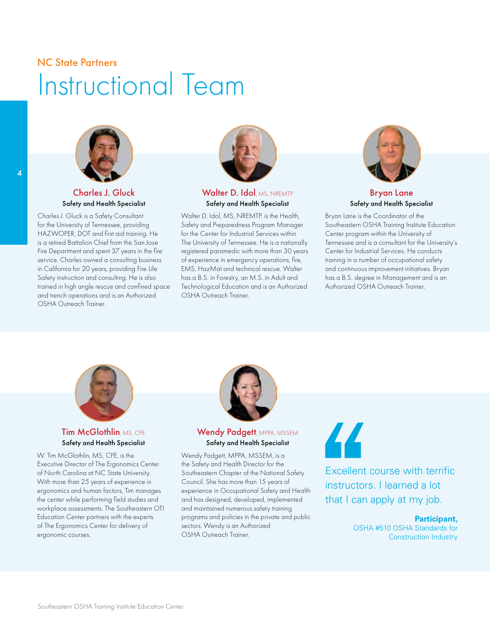### NC State Partners Instructional Team



#### Charles J. Gluck Safety and Health Specialist

Charles J. Gluck is a Safety Consultant for the University of Tennessee, providing HAZWOPER, DOT and first aid training. He is a retired Battalion Chief from the San Jose Fire Department and spent 37 years in the fire service. Charles owned a consulting business in California for 20 years, providing Fire Life Safety instruction and consulting. He is also trained in high angle rescue and confined space and trench operations and is an Authorized OSHA Outreach Trainer.



#### Walter D. Idol, MS, NREMTP Safety and Health Specialist

Walter D. Idol, MS, NREMTP, is the Health, Safety and Preparedness Program Manager for the Center for Industrial Services within The University of Tennessee. He is a nationally registered paramedic with more than 30 years of experience in emergency operations, fire, EMS, HazMat and technical rescue. Walter has a B.S. in Forestry, an M.S. in Adult and Technological Education and is an Authorized OSHA Outreach Trainer.



#### Bryan Lane Safety and Health Specialist

Bryan Lane is the Coordinator of the Southeastern OSHA Training Institute Education Center program within the University of Tennessee and is a consultant for the University's Center for Industrial Services. He conducts training in a number of occupational safety and continuous improvement initiatives. Bryan has a B.S. degree in Management and is an Authorized OSHA Outreach Trainer.



#### **Tim McGlothlin, MS, CPE** Safety and Health Specialist

W. Tim McGlothlin, MS, CPE, is the Executive Director of The Ergonomics Center of North Carolina at NC State University. With more than 25 years of experience in ergonomics and human factors, Tim manages the center while performing field studies and workplace assessments. The Southeastern OTI Education Center partners with the experts of The Ergonomics Center for delivery of ergonomic courses.



#### Wendy Padgett, MPPA, MSSEM Safety and Health Specialist

Wendy Padgett, MPPA, MSSEM, is a the Safety and Health Director for the Southeastern Chapter of the National Safety Council. She has more than 15 years of experience in Occupational Safety and Health and has designed, developed, implemented and maintained numerous safety training programs and policies in the private and public sectors. Wendy is an Authorized OSHA Outreach Trainer.

# 44

Excellent course with terrific instructors. I learned a lot that I can apply at my job.

#### **Participant,**

OSHA #510 OSHA Standards for Construction Industry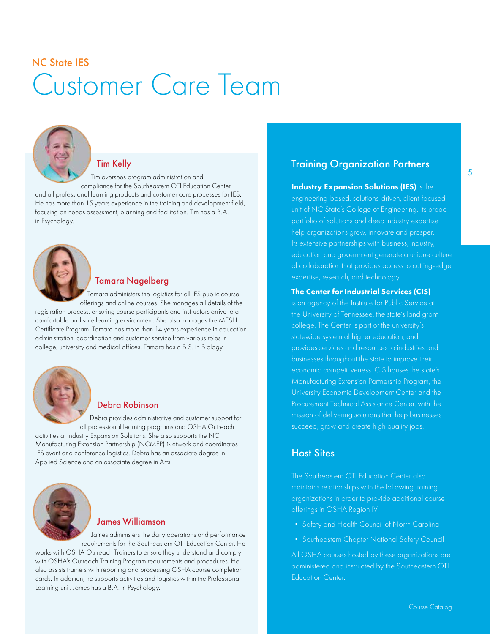## NC State IES Customer Care Team



#### Tim Kelly

Tim oversees program administration and compliance for the Southeastern OTI Education Center and all professional learning products and customer care processes for IES. He has more than 15 years experience in the training and development field, focusing on needs assessment, planning and facilitation. Tim has a B.A. in Psychology.



#### Tamara Nagelberg

Tamara administers the logistics for all IES public course offerings and online courses. She manages all details of the

registration process, ensuring course participants and instructors arrive to a comfortable and safe learning environment. She also manages the MESH Certificate Program. Tamara has more than 14 years experience in education administration, coordination and customer service from various roles in college, university and medical offices. Tamara has a B.S. in Biology.



#### Debra Robinson

Debra provides administrative and customer support for all professional learning programs and OSHA Outreach activities at Industry Expansion Solutions. She also supports the NC Manufacturing Extension Partnership (NCMEP) Network and coordinates IES event and conference logistics. Debra has an associate degree in Applied Science and an associate degree in Arts.



#### James Williamson

James administers the daily operations and performance requirements for the Southeastern OTI Education Center. He

works with OSHA Outreach Trainers to ensure they understand and comply with OSHA's Outreach Training Program requirements and procedures. He also assists trainers with reporting and processing OSHA course completion cards. In addition, he supports activities and logistics within the Professional Learning unit. James has a B.A. in Psychology.

#### Training Organization Partners

Industry Expansion Solutions (IES) is the engineering-based, solutions-driven, client-focused unit of NC State's College of Engineering. Its broad portfolio of solutions and deep industry expertise help organizations grow, innovate and prosper. Its extensive partnerships with business, industry, education and government generate a unique culture of collaboration that provides access to cutting-edge expertise, research, and technology.

#### The Center for Industrial Services (CIS)

is an agency of the Institute for Public Service at the University of Tennessee, the state's land grant college. The Center is part of the university's statewide system of higher education, and businesses throughout the state to improve their economic competitiveness. CIS houses the state's Manufacturing Extension Partnership Program, the University Economic Development Center and the Procurement Technical Assistance Center, with the mission of delivering solutions that help businesses succeed, grow and create high quality jobs.

#### Host Sites

The Southeastern OTI Education Center also maintains relationships with the following training organizations in order to provide additional course offerings in OSHA Region IV.

- 
- Southeastern Chapter National Safety Council

All OSHA courses hosted by these organizations are administered and instructed by the Southeastern OTI Education Center.

5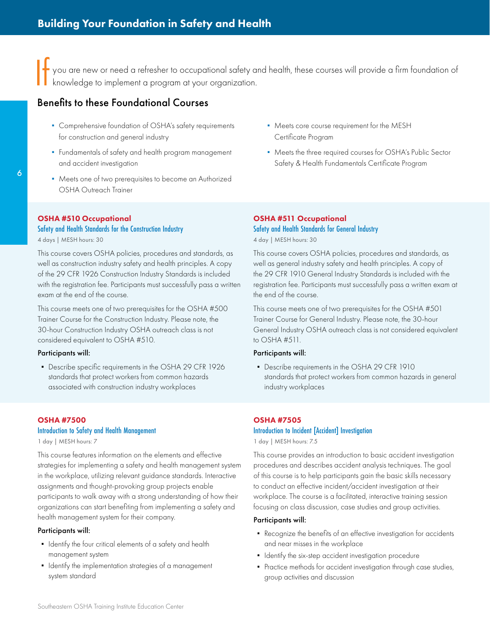If you are new or need a refresher to occupational safety and health, these courses will provide a firm foundation of knowledge to implement a program at your organization.

#### Benefits to these Foundational Courses

- Comprehensive foundation of OSHA's safety requirements for construction and general industry
- Fundamentals of safety and health program management and accident investigation
- Meets one of two prerequisites to become an Authorized OSHA Outreach Trainer
- Meets core course requirement for the MESH Certificate Program
- Meets the three required courses for OSHA's Public Sector Safety & Health Fundamentals Certificate Program

#### OSHA #510 Occupational

#### [Safety and Health Standards for the Construction Industry](https://www.ies.ncsu.edu/courses/osha-510/)

4 days | MESH hours: 30

This course covers OSHA policies, procedures and standards, as well as construction industry safety and health principles. A copy of the 29 CFR 1926 Construction Industry Standards is included with the registration fee. Participants must successfully pass a written exam at the end of the course.

This course meets one of two prerequisites for the OSHA #500 Trainer Course for the Construction Industry. Please note, the 30-hour Construction Industry OSHA outreach class is not considered equivalent to OSHA #510.

#### Participants will:

▪ Describe specific requirements in the OSHA 29 CFR 1926 standards that protect workers from common hazards associated with construction industry workplaces

#### OSHA #7500

#### [Introduction to Safety and Health Management](https://www.ies.ncsu.edu/courses/osha-7500/)

1 day | MESH hours: 7

This course features information on the elements and effective strategies for implementing a safety and health management system in the workplace, utilizing relevant guidance standards. Interactive assignments and thought-provoking group projects enable participants to walk away with a strong understanding of how their organizations can start benefiting from implementing a safety and health management system for their company.

#### Participants will:

- Identify the four critical elements of a safety and health management system
- Identify the implementation strategies of a management system standard

#### OSHA #511 Occupational [Safety and Health Standards for General Industry](https://www.ies.ncsu.edu/courses/osha-511/)

4 day | MESH hours: 30

This course covers OSHA policies, procedures and standards, as well as general industry safety and health principles. A copy of the 29 CFR 1910 General Industry Standards is included with the registration fee. Participants must successfully pass a written exam at the end of the course.

This course meets one of two prerequisites for the OSHA #501 Trainer Course for General Industry. Please note, the 30-hour General Industry OSHA outreach class is not considered equivalent to OSHA #511.

#### Participants will:

▪ Describe requirements in the OSHA 29 CFR 1910 standards that protect workers from common hazards in general industry workplaces

#### OSHA #7505

#### [Introduction to Incident \[Accident\] Investigation](https://www.ies.ncsu.edu/courses/osha-7505/)

1 day | MESH hours: 7.5

This course provides an introduction to basic accident investigation procedures and describes accident analysis techniques. The goal of this course is to help participants gain the basic skills necessary to conduct an effective incident/accident investigation at their workplace. The course is a facilitated, interactive training session focusing on class discussion, case studies and group activities.

- Recognize the benefits of an effective investigation for accidents and near misses in the workplace
- **•** Identify the six-step accident investigation procedure
- Practice methods for accident investigation through case studies, group activities and discussion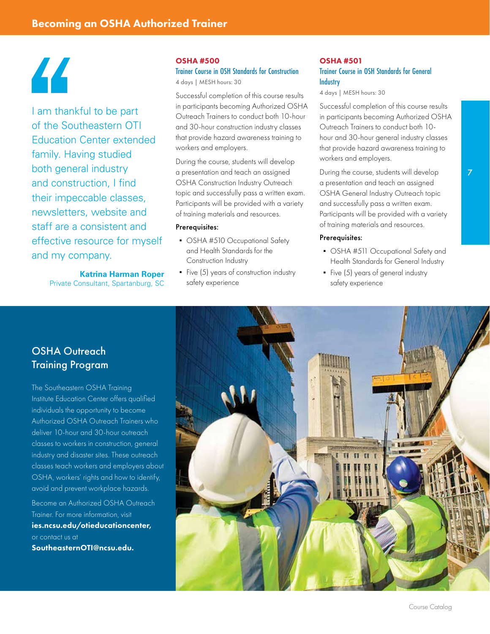# 44

I am thankful to be part of the Southeastern OTI Education Center extended family. Having studied both general industry and construction, I find their impeccable classes, newsletters, website and staff are a consistent and effective resource for myself and my company.

> **Katrina Harman Roper** Private Consultant, Spartanburg, SC

#### OSHA #500

[Trainer Course in OSH Standards for Construction](https://www.ies.ncsu.edu/courses/osha-500/) 4 days | MESH hours: 30

Successful completion of this course results in participants becoming Authorized OSHA Outreach Trainers to conduct both 10-hour and 30-hour construction industry classes that provide hazard awareness training to workers and employers.

During the course, students will develop a presentation and teach an assigned OSHA Construction Industry Outreach topic and successfully pass a written exam. Participants will be provided with a variety of training materials and resources.

#### Prerequisites:

- OSHA #510 Occupational Safety and Health Standards for the Construction Industry
- Five (5) years of construction industry safety experience

#### OSHA #501 [Trainer Course in OSH Standards for General](https://www.ies.ncsu.edu/courses/osha-501/)  **Industry**

4 days | MESH hours: 30

Successful completion of this course results in participants becoming Authorized OSHA Outreach Trainers to conduct both 10 hour and 30-hour general industry classes that provide hazard awareness training to workers and employers.

During the course, students will develop a presentation and teach an assigned OSHA General Industry Outreach topic and successfully pass a written exam. Participants will be provided with a variety of training materials and resources.

#### Prerequisites:

- OSHA #511 Occupational Safety and Health Standards for General Industry
- Five (5) years of general industry safety experience

#### OSHA Outreach Training Program

The Southeastern OSHA Training Institute Education Center offers qualified individuals the opportunity to become Authorized OSHA Outreach Trainers who deliver 10-hour and 30-hour outreach classes to workers in construction, general industry and disaster sites. These outreach classes teach workers and employers about OSHA, workers' rights and how to identify, avoid and prevent workplace hazards.

Become an Authorized OSHA Outreach Trainer. For more information, visit [ies.ncsu.edu/otieducationcenter,](https://www.ies.ncsu.edu/otieducationcenter/) or contact us at SoutheasternOTI@ncsu.edu.

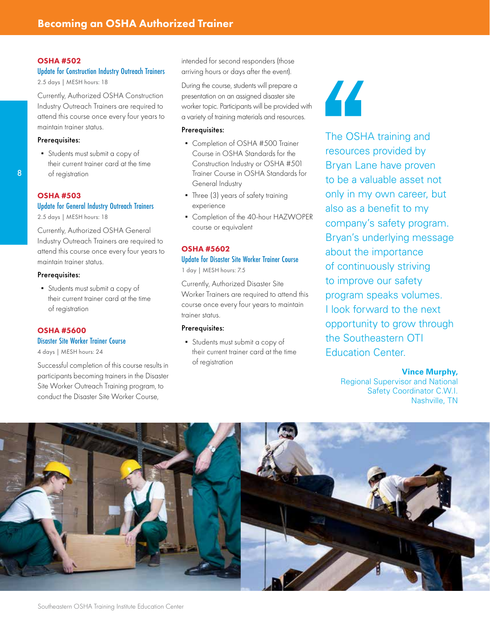#### OSHA #502

#### [Update for Construction Industry Outreach Trainers](https://www.ies.ncsu.edu/courses/osha-502/)

2.5 days | MESH hours: 18

Currently, Authorized OSHA Construction Industry Outreach Trainers are required to attend this course once every four years to maintain trainer status.

#### Prerequisites:

▪ Students must submit a copy of their current trainer card at the time of registration

#### OSHA #503

#### [Update for General Industry Outreach Trainers](https://www.ies.ncsu.edu/courses/osha-503/)

2.5 days | MESH hours: 18

Currently, Authorized OSHA General Industry Outreach Trainers are required to attend this course once every four years to maintain trainer status.

#### Prerequisites:

▪ Students must submit a copy of their current trainer card at the time of registration

#### OSHA #5600

#### [Disaster Site Worker Trainer Course](https://www.ies.ncsu.edu/courses/osha-5600/)

4 days | MESH hours: 24

Successful completion of this course results in participants becoming trainers in the Disaster Site Worker Outreach Training program, to conduct the Disaster Site Worker Course,

intended for second responders (those arriving hours or days after the event).

During the course, students will prepare a presentation on an assigned disaster site worker topic. Participants will be provided with a variety of training materials and resources.

#### Prerequisites:

- Completion of OSHA #500 Trainer Course in OSHA Standards for the Construction Industry or OSHA #501 Trainer Course in OSHA Standards for General Industry
- Three (3) years of safety training experience
- Completion of the 40-hour HAZWOPER course or equivalent

#### OSHA #5602 [Update for Disaster Site Worker Trainer Course](https://www.ies.ncsu.edu/courses/osha-5602/)

1 day | MESH hours: 7.5

Currently, Authorized Disaster Site Worker Trainers are required to attend this course once every four years to maintain trainer status.

#### Prerequisites:

▪ Students must submit a copy of their current trainer card at the time of registration

44

The OSHA training and resources provided by Bryan Lane have proven to be a valuable asset not only in my own career, but also as a benefit to my company's safety program. Bryan's underlying message about the importance of continuously striving to improve our safety program speaks volumes. I look forward to the next opportunity to grow through the Southeastern OTI Education Center.

#### **Vince Murphy,**

Regional Supervisor and National Safety Coordinator C.W.I. Nashville, TN

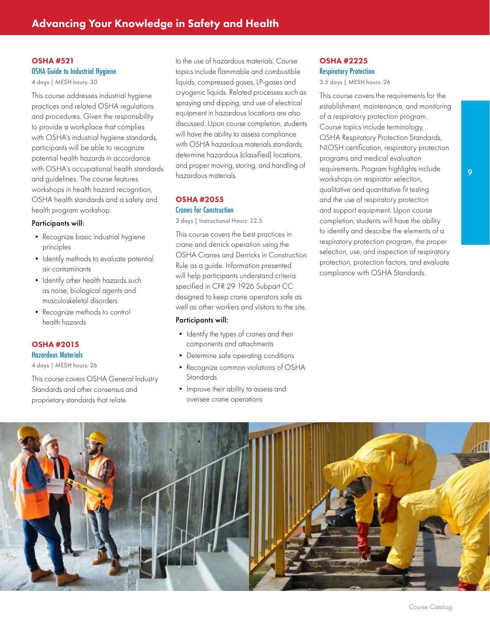#### OSHA #521 [OSHA Guide to Industrial Hygiene](https://www.ies.ncsu.edu/courses/osha-521/)

4 days | MESH hours: 30

This course addresses industrial hygiene practices and related OSHA regulations and procedures. Given the responsibility to provide a workplace that complies with OSHA's industrial hygiene standards, participants will be able to recognize potential health hazards in accordance with OSHA's occupational health standards and guidelines. The course features workshops in health hazard recognition, OSHA health standards and a safety and health program workshop.

#### Participants will:

- Recognize basic industrial hygiene principles
- **•** Identify methods to evaluate potential air contaminants
- **•** Identify other health hazards such as noise, biological agents and musculoskeletal disorders
- Recognize methods to control health hazards

#### OSHA #2015

[Hazardous Materials](https://www.ies.ncsu.edu/courses/osha-2015/)

4 days | MESH hours: 26

This course covers OSHA General Industry Standards and other consensus and proprietary standards that relate

to the use of hazardous materials. Course topics include flammable and combustible liquids, compressed gases, LP-gases and cryogenic liquids. Related processes such as spraying and dipping, and use of electrical equipment in hazardous locations are also discussed. Upon course completion, students will have the ability to assess compliance with OSHA hazardous materials standards, determine hazardous (classified) locations, and proper moving, storing, and handling of hazardous materials.

#### OSHA #2055

#### Cranes for Construction

[3 days | Instructional Hours: 22.5](https://www.ies.ncsu.edu/courses/osha-2055/)

This course covers the best practices in crane and derrick operation using the OSHA Cranes and Derricks in Construction Rule as a guide. Information presented will help participants understand criteria specified in CFR 29 1926 Subpart CC designed to keep crane operators safe as well as other workers and visitors to the site.

#### Participants will:

- **•** Identify the types of cranes and their components and attachments
- Determine safe operating conditions
- Recognize common violations of OSHA **Standards**
- **.** Improve their ability to assess and oversee crane operations

#### OSHA #2225 [Respiratory Protection](https://www.ies.ncsu.edu/courses/osha-2225/)

3.5 days | MESH hours: 26

This course covers the requirements for the establishment, maintenance, and monitoring of a respiratory protection program. Course topics include terminology, OSHA Respiratory Protection Standards, NIOSH certification, respiratory protection programs and medical evaluation requirements. Program highlights include workshops on respirator selection, qualitative and quantitative fit testing and the use of respiratory protection and support equipment. Upon course completion, students will have the ability to identify and describe the elements of a respiratory protection program, the proper selection, use, and inspection of respiratory protection, protection factors, and evaluate compliance with OSHA Standards.

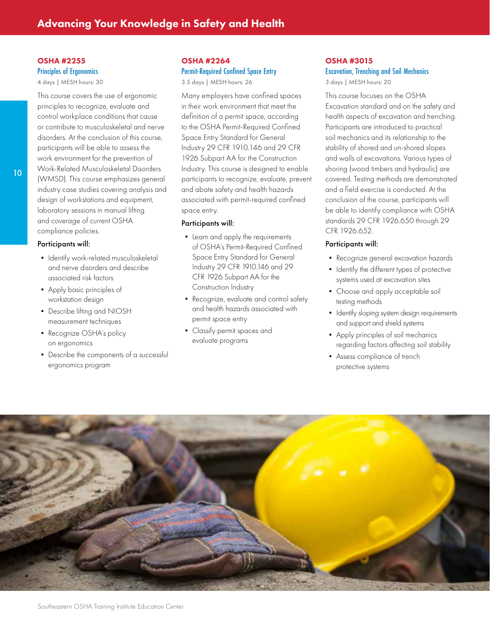#### OSHA #2255

[Principles of Ergonomics](https://www.ies.ncsu.edu/courses/osha-2255/)

4 days | MESH hours: 30

This course covers the use of ergonomic principles to recognize, evaluate and control workplace conditions that cause or contribute to musculoskeletal and nerve disorders. At the conclusion of this course, participants will be able to assess the work environment for the prevention of Work-Related Musculoskeletal Disorders (WMSD). This course emphasizes general industry case studies covering analysis and design of workstations and equipment, laboratory sessions in manual lifting and coverage of current OSHA compliance policies.

#### Participants will:

- **•** Identify work-related musculoskeletal and nerve disorders and describe associated risk factors
- Apply basic principles of workstation design
- Describe lifting and NIOSH measurement techniques
- Recognize OSHA's policy on ergonomics
- Describe the components of a successful ergonomics program

#### OSHA #2264 [Permit-Required Confined Space Entry](https://www.ies.ncsu.edu/courses/osha-2264/)

3.5 days | MESH hours: 26

Many employers have confined spaces in their work environment that meet the definition of a permit space, according to the OSHA Permit-Required Confined Space Entry Standard for General Industry 29 CFR 1910.146 and 29 CFR 1926 Subpart AA for the Construction Industry. This course is designed to enable participants to recognize, evaluate, prevent and abate safety and health hazards associated with permit-required confined space entry.

#### Participants will:

- **•** Learn and apply the requirements of OSHA's Permit-Required Confined Space Entry Standard for General Industry 29 CFR 1910.146 and 29 CFR 1926 Subpart AA for the Construction Industry
- Recognize, evaluate and control safety and health hazards associated with permit space entry
- Classify permit spaces and evaluate programs

#### OSHA #3015 [Excavation, Trenching and Soil Mechanics](https://www.ies.ncsu.edu/courses/osha-3015/) 3 days | MESH hours: 20

This course focuses on the OSHA Excavation standard and on the safety and health aspects of excavation and trenching. Participants are introduced to practical soil mechanics and its relationship to the stability of shored and un-shored slopes and walls of excavations. Various types of shoring (wood timbers and hydraulic) are covered. Testing methods are demonstrated and a field exercise is conducted. At the conclusion of the course, participants will be able to identify compliance with OSHA standards 29 CFR 1926.650 through 29 CFR 1926.652.

- Recognize general excavation hazards
- **.** Identify the different types of protective systems used at excavation sites
- Choose and apply acceptable soil testing methods
- **•** Identify sloping system design requirements and support and shield systems
- **•** Apply principles of soil mechanics regarding factors affecting soil stability
- **Assess compliance of trench** protective systems

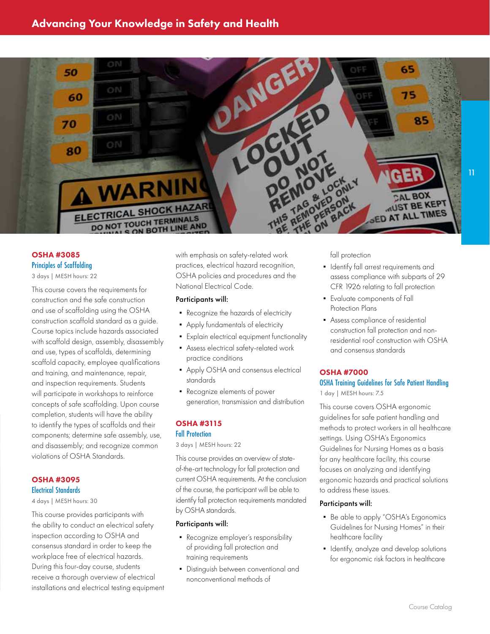

#### OSHA #3085 [Principles of Scaffolding](https://www.ies.ncsu.edu/courses/osha-3085/) 3 days | MESH hours: 22

This course covers the requirements for construction and the safe construction and use of scaffolding using the OSHA construction scaffold standard as a guide. Course topics include hazards associated with scaffold design, assembly, disassembly and use, types of scaffolds, determining scaffold capacity, employee qualifications and training, and maintenance, repair, and inspection requirements. Students will participate in workshops to reinforce concepts of safe scaffolding. Upon course completion, students will have the ability to identify the types of scaffolds and their components; determine safe assembly, use, and disassembly; and recognize common violations of OSHA Standards.

#### OSHA #3095 [Electrical Standards](https://www.ies.ncsu.edu/courses/osha-3095/)

4 days | MESH hours: 30

This course provides participants with the ability to conduct an electrical safety inspection according to OSHA and consensus standard in order to keep the workplace free of electrical hazards. During this four-day course, students receive a thorough overview of electrical installations and electrical testing equipment with emphasis on safety-related work practices, electrical hazard recognition, OSHA policies and procedures and the National Electrical Code.

#### Participants will:

- Recognize the hazards of electricity
- Apply fundamentals of electricity
- **•** Explain electrical equipment functionality
- **•** Assess electrical safety-related work practice conditions
- **Apply OSHA and consensus electrical** standards
- Recognize elements of power generation, transmission and distribution

#### OSHA #3115

#### Fall Protection

[3 days | MESH hours: 22](https://www.ies.ncsu.edu/courses/osha-3115/)

This course provides an overview of stateof-the-art technology for fall protection and current OSHA requirements. At the conclusion of the course, the participant will be able to identify fall protection requirements mandated by OSHA standards.

#### Participants will:

- Recognize employer's responsibility of providing fall protection and training requirements
- Distinguish between conventional and nonconventional methods of

fall protection

- **•** Identify fall arrest requirements and assess compliance with subparts of 29 CFR 1926 relating to fall protection
- Evaluate components of Fall Protection Plans
- **Assess compliance of residential** construction fall protection and nonresidential roof construction with OSHA and consensus standards

#### OSHA #7000

#### [OSHA Training Guidelines for Safe Patient Handling](https://www.ies.ncsu.edu/courses/osha-7000/) 1 day | MESH hours: 7.5

This course covers OSHA ergonomic guidelines for safe patient handling and methods to protect workers in all healthcare settings. Using OSHA's Ergonomics Guidelines for Nursing Homes as a basis for any healthcare facility, this course focuses on analyzing and identifying ergonomic hazards and practical solutions to address these issues.

- Be able to apply "OSHA's Ergonomics Guidelines for Nursing Homes" in their healthcare facility
- **•** Identify, analyze and develop solutions for ergonomic risk factors in healthcare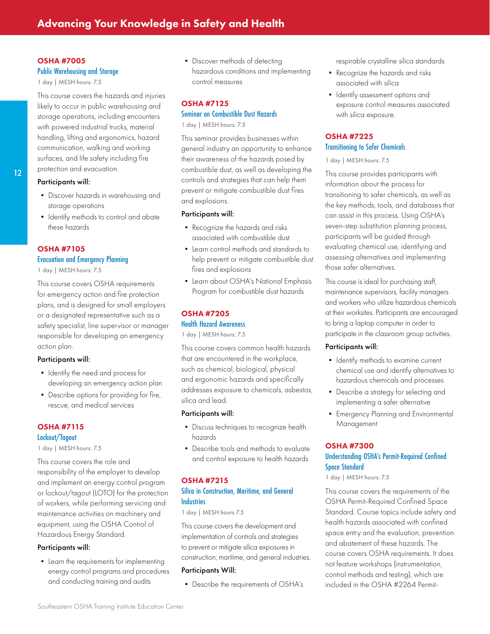#### OSHA #7005

#### [Public Warehousing and Storage](https://www.ies.ncsu.edu/courses/osha-7005/)

1 day | MESH hours: 7.5

This course covers the hazards and injuries likely to occur in public warehousing and storage operations, including encounters with powered industrial trucks, material handling, lifting and ergonomics, hazard communication, walking and working surfaces, and life safety including fire protection and evacuation.

#### Participants will:

- Discover hazards in warehousing and storage operations
- **•** Identify methods to control and abate these hazards

#### OSHA #7105

#### [Evacuation and Emergency Planning](https://www.ies.ncsu.edu/courses/osha-7105/)

1 day | MESH hours: 7.5

This course covers OSHA requirements for emergency action and fire protection plans, and is designed for small employers or a designated representative such as a safety specialist, line supervisor or manager responsible for developing an emergency action plan.

#### Participants will:

- **•** Identify the need and process for developing an emergency action plan
- Describe options for providing for fire, rescue, and medical services

#### OSHA #7115

Lockout/Tagout

[1 day | MESH hours: 7.5](https://www.ies.ncsu.edu/courses/osha-7115/)

This course covers the role and responsibility of the employer to develop and implement an energy control program or lockout/tagout (LOTO) for the protection of workers, while performing servicing and maintenance activities on machinery and equipment, using the OSHA Control of Hazardous Energy Standard.

#### Participants will:

• Learn the requirements for implementing energy control programs and procedures and conducting training and audits

• Discover methods of detecting hazardous conditions and implementing control measures

#### OSHA #7125

#### [Seminar on Combustible Dust Hazards](https://www.ies.ncsu.edu/courses/osha-7125/)

1 day | MESH hours: 7.5

This seminar provides businesses within general industry an opportunity to enhance their awareness of the hazards posed by combustible dust, as well as developing the controls and strategies that can help them prevent or mitigate combustible dust fires and explosions.

#### Participants will:

- Recognize the hazards and risks associated with combustible dust
- Learn control methods and standards to help prevent or mitigate combustible dust fires and explosions
- **Learn about OSHA's National Emphasis** Program for combustible dust hazards

#### OSHA #7205

#### [Health Hazard Awareness](https://www.ies.ncsu.edu/courses/osha-7205/)

1 day | MESH hours: 7.5

This course covers common health hazards that are encountered in the workplace, such as chemical, biological, physical and ergonomic hazards and specifically addresses exposure to chemicals, asbestos, silica and lead.

#### Participants will:

- **•** Discuss techniques to recognize health hazards
- Describe tools and methods to evaluate and control exposure to health hazards

#### OSHA #7215 [Silica in Construction, Maritime, and General](https://www.ies.ncsu.edu/courses/osha-7215/)  **Industries**

#### 1 day | MESH hours 7.5

This course covers the development and implementation of controls and strategies to prevent or mitigate silica exposures in construction, maritime, and general industries.

#### Participants Will:

▪ Describe the requirements of OSHA's

respirable crystalline silica standards

- Recognize the hazards and risks associated with silica
- **•** Identify assessment options and exposure control measures associated with silica exposure.

#### OSHA #7225 [Transitioning to Safer Chemicals](https://www.ies.ncsu.edu/courses/osha-7225/)

1 day | MESH hours: 7.5

This course provides participants with information about the process for transitioning to safer chemicals, as well as the key methods, tools, and databases that can assist in this process. Using OSHA's seven-step substitution planning process, participants will be guided through evaluating chemical use, identifying and assessing alternatives and implementing those safer alternatives.

This course is ideal for purchasing staff, maintenance supervisors, facility managers and workers who utilize hazardous chemicals at their worksites. Participants are encouraged to bring a laptop computer in order to participate in the classroom group activities.

#### Participants will:

- **•** Identify methods to examine current chemical use and identify alternatives to hazardous chemicals and processes
- Describe a strategy for selecting and implementing a safer alternative
- **•** Emergency Planning and Environmental Management

#### OSHA #7300

#### [Understanding OSHA's Permit-Required Confined](https://www.ies.ncsu.edu/courses/osha-7300/)  Space Standard

1 day | MESH hours: 7.5

This course covers the requirements of the OSHA Permit-Required Confined Space Standard. Course topics include safety and health hazards associated with confined space entry and the evaluation, prevention and abatement of these hazards. The course covers OSHA requirements. It does not feature workshops (instrumentation, control methods and testing), which are included in the OSHA #2264 Permit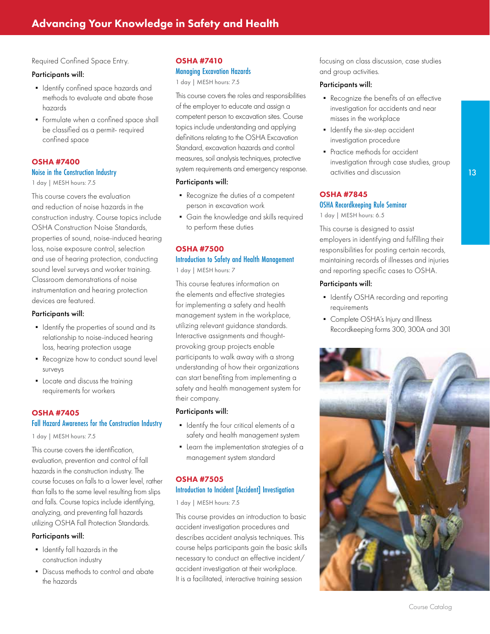Required Confined Space Entry.

#### Participants will:

- Identify confined space hazards and methods to evaluate and abate those hazards
- **•** Formulate when a confined space shall be classified as a permit- required confined space

#### OSHA #7400

#### [Noise in the Construction Industry](https://www.ies.ncsu.edu/courses/osha-7400/)

1 day | MESH hours: 7.5

This course covers the evaluation and reduction of noise hazards in the construction industry. Course topics include OSHA Construction Noise Standards, properties of sound, noise-induced hearing loss, noise exposure control, selection and use of hearing protection, conducting sound level surveys and worker training. Classroom demonstrations of noise instrumentation and hearing protection devices are featured.

#### Participants will:

- **•** Identify the properties of sound and its relationship to noise-induced hearing loss, hearing protection usage
- Recognize how to conduct sound level surveys
- Locate and discuss the training requirements for workers

#### OSHA #7405

#### [Fall Hazard Awareness for the Construction Industry](https://www.ies.ncsu.edu/courses/osha-7405/)

1 day | MESH hours: 7.5

This course covers the identification, evaluation, prevention and control of fall hazards in the construction industry. The course focuses on falls to a lower level, rather than falls to the same level resulting from slips and falls. Course topics include identifying, analyzing, and preventing fall hazards utilizing OSHA Fall Protection Standards.

#### Participants will:

- Identify fall hazards in the construction industry
- Discuss methods to control and abate the hazards

#### OSHA #7410 [Managing Excavation Hazards](https://www.ies.ncsu.edu/courses/osha-7410/)

1 day | MESH hours: 7.5

This course covers the roles and responsibilities of the employer to educate and assign a competent person to excavation sites. Course topics include understanding and applying definitions relating to the OSHA Excavation Standard, excavation hazards and control measures, soil analysis techniques, protective system requirements and emergency response.

#### Participants will:

- Recognize the duties of a competent person in excavation work
- Gain the knowledge and skills required to perform these duties

#### OSHA #7500 [Introduction to Safety and Health Management](https://www.ies.ncsu.edu/courses/osha-7500/) 1 day | MESH hours: 7

This course features information on the elements and effective strategies for implementing a safety and health management system in the workplace, utilizing relevant guidance standards. Interactive assignments and thoughtprovoking group projects enable participants to walk away with a strong understanding of how their organizations can start benefiting from implementing a safety and health management system for their company.

#### Participants will:

- **•** Identify the four critical elements of a safety and health management system
- Learn the implementation strategies of a management system standard

#### OSHA #7505 [Introduction to Incident \[Accident\] Investigation](https://www.ies.ncsu.edu/courses/osha-7505/)

1 day | MESH hours: 7.5

This course provides an introduction to basic accident investigation procedures and describes accident analysis techniques. This course helps participants gain the basic skills necessary to conduct an effective incident/ accident investigation at their workplace. It is a facilitated, interactive training session

focusing on class discussion, case studies and group activities.

#### Participants will:

- Recognize the benefits of an effective investigation for accidents and near misses in the workplace
- **•** Identify the six-step accident investigation procedure
- Practice methods for accident investigation through case studies, group activities and discussion

#### OSHA #7845

#### [OSHA Recordkeeping Rule Seminar](https://www.ies.ncsu.edu/courses/osha-7845/)

1 day | MESH hours: 6.5

This course is designed to assist employers in identifying and fulfilling their responsibilities for posting certain records, maintaining records of illnesses and injuries and reporting specific cases to OSHA.

- **Identify OSHA recording and reporting** requirements
- Complete OSHA's Injury and Illness Recordkeeping forms 300, 300A and 301

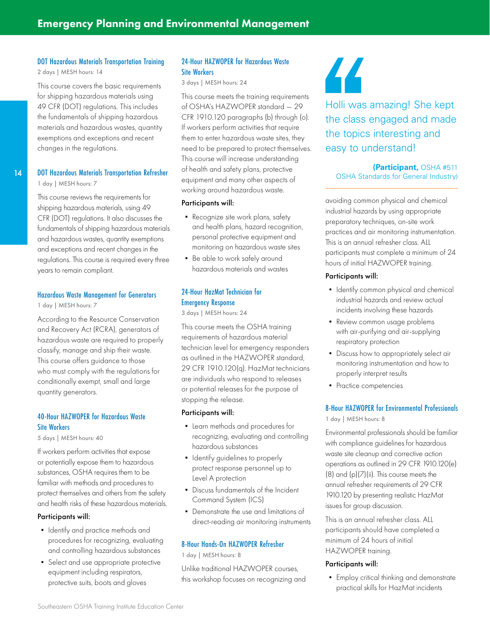#### [DOT Hazardous Materials Transportation Training](https://www.ies.ncsu.edu/courses/dot-training/)

2 days | MESH hours: 14

This course covers the basic requirements for shipping hazardous materials using 49 CFR (DOT) regulations. This includes the fundamentals of shipping hazardous materials and hazardous wastes, quantity exemptions and exceptions and recent changes in the regulations.

#### 14

#### [DOT Hazardous Materials Transportation Refresher](https://www.ies.ncsu.edu/courses/dot-hazardous-materials-transportation-refresher/)

1 day | MESH hours: 7

This course reviews the requirements for shipping hazardous materials, using 49 CFR (DOT) regulations. It also discusses the fundamentals of shipping hazardous materials and hazardous wastes, quantity exemptions and exceptions and recent changes in the regulations. This course is required every three years to remain compliant.

#### [Hazardous Waste Management for Generators](https://www.ies.ncsu.edu/courses/hazardous-waste-management-for-generators/)

1 day | MESH hours: 7

According to the Resource Conservation and Recovery Act (RCRA), generators of hazardous waste are required to properly classify, manage and ship their waste. This course offers guidance to those who must comply with the regulations for conditionally exempt, small and large quantity generators.

#### [40-Hour HAZWOPER for Hazardous Waste](https://www.ies.ncsu.edu/courses/40-hour-hazwoper/) Site Workers

5 days | MESH hours: 40

If workers perform activities that expose or potentially expose them to hazardous substances, OSHA requires them to be familiar with methods and procedures to protect themselves and others from the safety and health risks of these hazardous materials.

#### Participants will:

- **•** Identify and practice methods and procedures for recognizing, evaluating and controlling hazardous substances
- **•** Select and use appropriate protective equipment including respirators, protective suits, boots and gloves

#### [24-Hour HAZWOPER for Hazardous Waste](https://www.ies.ncsu.edu/courses/24-hour-hazwoper/) Site Workers

3 days | MESH hours: 24

This course meets the training requirements of OSHA's HAZWOPER standard — 29 CFR 1910.120 paragraphs (b) through (o). If workers perform activities that require them to enter hazardous waste sites, they need to be prepared to protect themselves. This course will increase understanding of health and safety plans, protective equipment and many other aspects of working around hazardous waste.

#### Participants will:

- Recognize site work plans, safety and health plans, hazard recognition, personal protective equipment and monitoring on hazardous waste sites
- Be able to work safely around hazardous materials and wastes

#### [24-Hour HazMat Technician for](https://www.ies.ncsu.edu/courses/24-hour-hazmat-tech/) Emergency Response

3 days | MESH hours: 24

This course meets the OSHA training requirements of hazardous material technician level for emergency responders as outlined in the HAZWOPER standard, 29 CFR 1910.120(q). HazMat technicians are individuals who respond to releases or potential releases for the purpose of stopping the release.

#### Participants will:

- Learn methods and procedures for recognizing, evaluating and controlling hazardous substances
- **•** Identify guidelines to properly protect response personnel up to Level A protection
- Discuss fundamentals of the Incident Command System (ICS)
- Demonstrate the use and limitations of direct-reading air monitoring instruments

#### [8-Hour Hands-On HAZWOPER Refresher](https://www.ies.ncsu.edu/courses/8-hour-hazwoper-refresher/)

1 day | MESH hours: 8

Unlike traditional HAZWOPER courses, this workshop focuses on recognizing and



Holli was amazing! She kept the class engaged and made the topics interesting and easy to understand!

**(Participant,** OSHA #511 OSHA Standards for General Industry)

avoiding common physical and chemical industrial hazards by using appropriate preparatory techniques, on-site work practices and air monitoring instrumentation. This is an annual refresher class. ALL participants must complete a minimum of 24 hours of initial HAZWOPER training.

#### Participants will:

- **•** Identify common physical and chemical industrial hazards and review actual incidents involving these hazards
- Review common usage problems with air-purifying and air-supplying respiratory protection
- **•** Discuss how to appropriately select air monitoring instrumentation and how to properly interpret results
- Practice competencies

#### [8-Hour HAZWOPER for Environmental Professionals](https://www.ies.ncsu.edu/courses/8-hour-hazwoper-for-environmental-professionals/)

1 day | MESH hours: 8

Environmental professionals should be familiar with compliance guidelines for hazardous waste site cleanup and corrective action operations as outlined in 29 CFR 1910.120(e)  $(8)$  and  $(p)(7)(ii)$ . This course meets the annual refresher requirements of 29 CFR 1910.120 by presenting realistic HazMat issues for group discussion.

This is an annual refresher class. ALL participants should have completed a minimum of 24 hours of initial HAZWOPER training.

#### Participants will:

**•** Employ critical thinking and demonstrate practical skills for HazMat incidents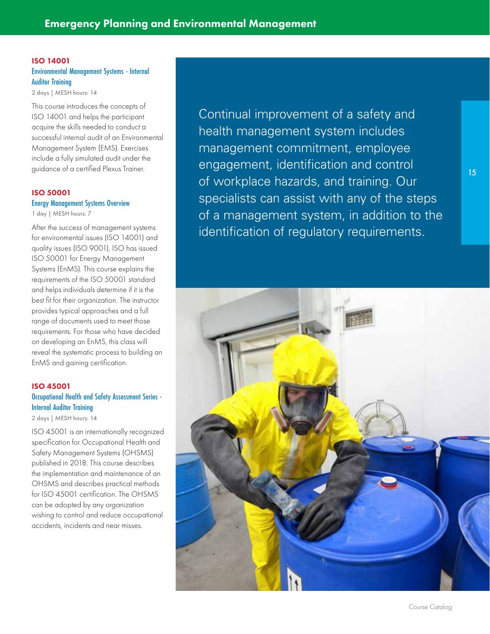#### ISO 14001 [Environmental Management Systems - Internal](https://www.ies.ncsu.edu/courses/iso-14001/)  Auditor Training

2 days | MESH hours: 14

This course introduces the concepts of ISO 14001 and helps the participant acquire the skills needed to conduct a successful internal audit of an Environmental Management System (EMS). Exercises include a fully simulated audit under the guidance of a certified Plexus Trainer.

#### ISO 50001 [Energy Management Systems Overview](https://www.ies.ncsu.edu/courses/iso-50001/)

1 day | MESH hours: 7

After the success of management systems for environmental issues (ISO 14001) and quality issues (ISO 9001), ISO has issued ISO 50001 for Energy Management Systems (EnMS). This course explains the requirements of the ISO 50001 standard and helps individuals determine if it is the best fit for their organization. The instructor provides typical approaches and a full range of documents used to meet those requirements. For those who have decided on developing an EnMS, this class will reveal the systematic process to building an EnMS and gaining certification.

#### ISO 45001 [Occupational Health and Safety Assessment Series -](https://www.ies.ncsu.edu/courses/iso-45001-2017/)  Internal Auditor Training

2 days | MESH hours: 14 ISO 45001 is an internationally recognized specification for Occupational Health and Safety Management Systems (OHSMS) published in 2018. This course describes the implementation and maintenance of an OHSMS and describes practical methods for ISO 45001 certification. The OHSMS can be adopted by any organization wishing to control and reduce occupational accidents, incidents and near misses.

Continual improvement of a safety and health management system includes management commitment, employee engagement, identification and control of workplace hazards, and training. Our specialists can assist with any of the steps of a management system, in addition to the identification of regulatory requirements.

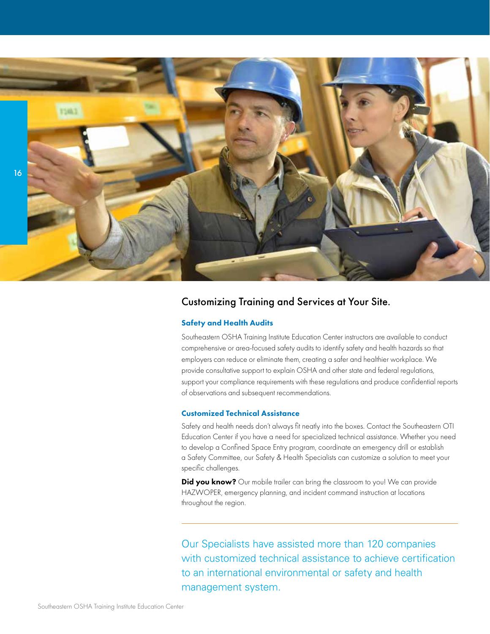

#### Customizing Training and Services at Your Site.

#### Safety and Health Audits

Southeastern OSHA Training Institute Education Center instructors are available to conduct comprehensive or area-focused safety audits to identify safety and health hazards so that employers can reduce or eliminate them, creating a safer and healthier workplace. We provide consultative support to explain OSHA and other state and federal regulations, support your compliance requirements with these regulations and produce confidential reports of observations and subsequent recommendations.

#### Customized Technical Assistance

Safety and health needs don't always fit neatly into the boxes. Contact the Southeastern OTI Education Center if you have a need for specialized technical assistance. Whether you need to develop a Confined Space Entry program, coordinate an emergency drill or establish a Safety Committee, our Safety & Health Specialists can customize a solution to meet your specific challenges.

Did you know? Our mobile trailer can bring the classroom to you! We can provide HAZWOPER, emergency planning, and incident command instruction at locations throughout the region.

Our Specialists have assisted more than 120 companies with customized technical assistance to achieve certification to an international environmental or safety and health management system.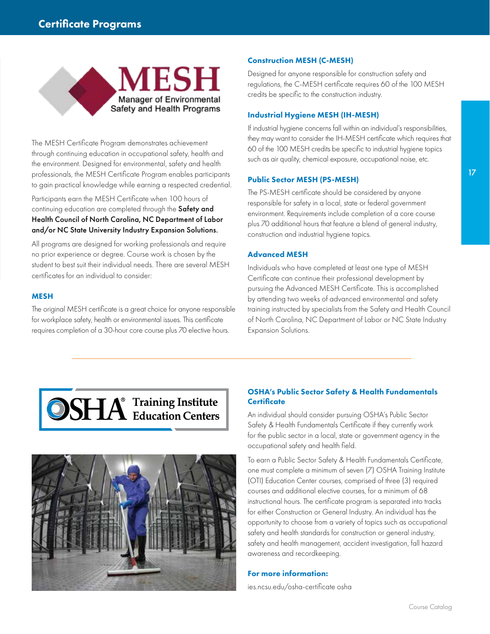

The MESH Certificate Program demonstrates achievement through continuing education in occupational safety, health and the environment. Designed for environmental, safety and health professionals, the MESH Certificate Program enables participants to gain practical knowledge while earning a respected credential.

Participants earn the MESH Certificate when 100 hours of continuing education are completed through the Safety and Health Council of North Carolina, NC Department of Labor and/or NC State University Industry Expansion Solutions.

All programs are designed for working professionals and require no prior experience or degree. Course work is chosen by the student to best suit their individual needs. There are several MESH certificates for an individual to consider:

#### **MESH**

The original MESH certificate is a great choice for anyone responsible for workplace safety, health or environmental issues. This certificate requires completion of a 30-hour core course plus 70 elective hours.

#### Construction MESH (C-MESH)

Designed for anyone responsible for construction safety and regulations, the C-MESH certificate requires 60 of the 100 MESH credits be specific to the construction industry.

#### Industrial Hygiene MESH (IH-MESH)

If industrial hygiene concerns fall within an individual's responsibilities, they may want to consider the IH-MESH certificate which requires that 60 of the 100 MESH credits be specific to industrial hygiene topics such as air quality, chemical exposure, occupational noise, etc.

#### Public Sector MESH (PS-MESH)

The PS-MESH certificate should be considered by anyone responsible for safety in a local, state or federal government environment. Requirements include completion of a core course plus 70 additional hours that feature a blend of general industry, construction and industrial hygiene topics.

#### Advanced MESH

Individuals who have completed at least one type of MESH Certificate can continue their professional development by pursuing the Advanced MESH Certificate. This is accomplished by attending two weeks of advanced environmental and safety training instructed by specialists from the Safety and Health Council of North Carolina, NC Department of Labor or NC State Industry Expansion Solutions.





#### OSHA's Public Sector Safety & Health Fundamentals **Certificate**

An individual should consider pursuing OSHA's Public Sector Safety & Health Fundamentals Certificate if they currently work for the public sector in a local, state or government agency in the occupational safety and health field.

To earn a Public Sector Safety & Health Fundamentals Certificate, one must complete a minimum of seven (7) OSHA Training Institute (OTI) Education Center courses, comprised of three (3) required courses and additional elective courses, for a minimum of 68 instructional hours. The certificate program is separated into tracks for either Construction or General Industry. An individual has the opportunity to choose from a variety of topics such as occupational safety and health standards for construction or general industry, safety and health management, accident investigation, fall hazard awareness and recordkeeping.

#### For more information:

[ies.ncsu.edu/osha-certificate osha](https://www.ies.ncsu.edu/solution/public-sector-certificate-program/)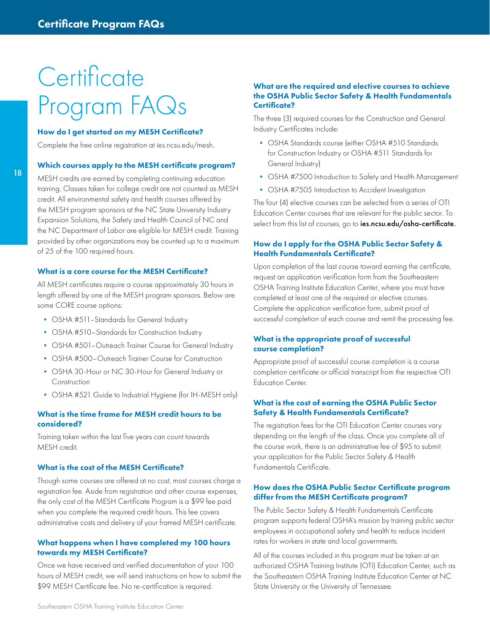## **Certificate** Program FAQs

#### How do I get started on my MESH Certificate?

Complete the free online registration at ies.ncsu.edu/mesh.

#### Which courses apply to the MESH certificate program?

MESH credits are earned by completing continuing education training. Classes taken for college credit are not counted as MESH credit. All environmental safety and health courses offered by the MESH program sponsors at the NC State University Industry Expansion Solutions, the Safety and Health Council of NC and the NC Department of Labor are eligible for MESH credit. Training provided by other organizations may be counted up to a maximum of 25 of the 100 required hours.

#### What is a core course for the MESH Certificate?

All MESH certificates require a course approximately 30 hours in length offered by one of the MESH program sponsors. Below are some CORE course options:

- OSHA #511-Standards for General Industry
- OSHA #510-Standards for Construction Industry
- OSHA #501-Outreach Trainer Course for General Industry
- OSHA #500–Outreach Trainer Course for Construction
- OSHA 30-Hour or NC 30-Hour for General Industry or Construction
- OSHA #521 Guide to Industrial Hygiene (for IH-MESH only)

#### What is the time frame for MESH credit hours to be considered?

Training taken within the last five years can count towards MESH credit.

#### What is the cost of the MESH Certificate?

Though some courses are offered at no cost, most courses charge a registration fee. Aside from registration and other course expenses, the only cost of the MESH Certificate Program is a \$99 fee paid when you complete the required credit hours. This fee covers administrative costs and delivery of your framed MESH certificate.

#### What happens when I have completed my 100 hours towards my MESH Certificate?

Once we have received and verified documentation of your 100 hours of MESH credit, we will send instructions on how to submit the \$99 MESH Certificate fee. No re-certification is required.

#### What are the required and elective courses to achieve the OSHA Public Sector Safety & Health Fundamentals Certificate?

The three (3) required courses for the Construction and General Industry Certificates include:

- OSHA Standards course (either OSHA #510 Standards for Construction Industry or OSHA #511 Standards for General Industry)
- OSHA #7500 Introduction to Safety and Health Management
- OSHA #7505 Introduction to Accident Investigation

The four (4) elective courses can be selected from a series of OTI Education Center courses that are relevant for the public sector. To select from this list of courses, go to ies.ncsu.edu/osha-certificate.

#### How do I apply for the OSHA Public Sector Safety & Health Fundamentals Certificate?

Upon completion of the last course toward earning the certificate, request an application verification form from the Southeastern OSHA Training Institute Education Center, where you must have completed at least one of the required or elective courses. Complete the application verification form, submit proof of successful completion of each course and remit the processing fee.

#### What is the appropriate proof of successful course completion?

Appropriate proof of successful course completion is a course completion certificate or official transcript from the respective OTI Education Center.

#### What is the cost of earning the OSHA Public Sector Safety & Health Fundamentals Certificate?

The registration fees for the OTI Education Center courses vary depending on the length of the class. Once you complete all of the course work, there is an administrative fee of \$95 to submit your application for the Public Sector Safety & Health Fundamentals Certificate.

#### How does the OSHA Public Sector Certificate program differ from the MESH Certificate program?

The Public Sector Safety & Health Fundamentals Certificate program supports federal OSHA's mission by training public sector employees in occupational safety and health to reduce incident rates for workers in state and local governments.

All of the courses included in this program must be taken at an authorized OSHA Training Institute (OTI) Education Center, such as the Southeastern OSHA Training Institute Education Center at NC State University or the University of Tennessee.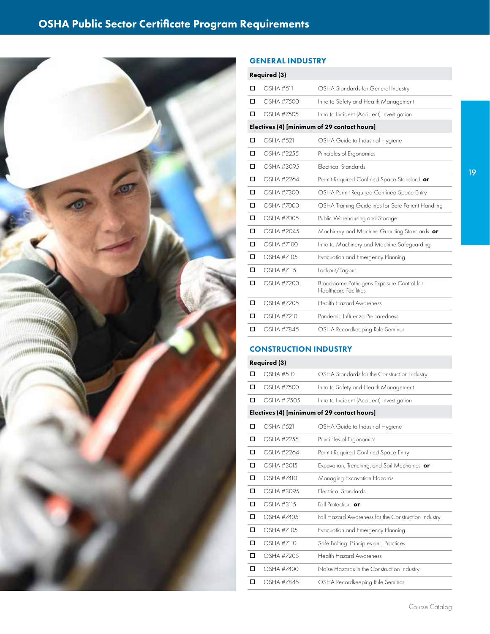

#### GENERAL INDUSTRY

| <b>Required (3)</b>                         |                  |                                                                    |  |  |
|---------------------------------------------|------------------|--------------------------------------------------------------------|--|--|
| □                                           | <b>OSHA #511</b> | OSHA Standards for General Industry                                |  |  |
| п                                           | OSHA #7500       | Intro to Safety and Health Management                              |  |  |
| п                                           | OSHA #7505       | Intro to Incident (Accident) Investigation                         |  |  |
| Electives (4) [minimum of 29 contact hours] |                  |                                                                    |  |  |
| □                                           | OSHA #521        | OSHA Guide to Industrial Hygiene                                   |  |  |
| □                                           | OSHA #2255       | Principles of Ergonomics                                           |  |  |
| □                                           | OSHA #3095       | <b>Flectrical Standards</b>                                        |  |  |
| п                                           | OSHA #2264       | Permit-Required Confined Space Standard or                         |  |  |
| п                                           | OSHA #7300       | OSHA Permit Required Confined Space Entry                          |  |  |
| п                                           | OSHA #7000       | OSHA Training Guidelines for Safe Patient Handling                 |  |  |
| п                                           | OSHA #700.5      | Public Warehousing and Storage                                     |  |  |
| □                                           | OSHA #2045       | Machinery and Machine Guarding Standards or                        |  |  |
| □                                           | OSHA #7100       | Intro to Machinery and Machine Safeguarding                        |  |  |
| п                                           | OSHA #710.5      | Evacuation and Emergency Planning                                  |  |  |
| □                                           | OSHA #7115       | Lockout/Tagout                                                     |  |  |
| □                                           | OSHA #7200       | Bloodborne Pathogens Exposure Control for<br>Healthcare Facilities |  |  |
| □                                           | OSHA #7205       | <b>Health Hazard Awareness</b>                                     |  |  |
| □                                           | OSHA #7210       | Pandemic Influenza Preparedness                                    |  |  |
| п                                           | OSHA #7845       | OSHA Recordkeeping Rule Seminar                                    |  |  |

#### CONSTRUCTION INDUSTRY

#### Required (3)

| п                                           | OSHA #510     | OSHA Standards for the Construction Industry        |  |
|---------------------------------------------|---------------|-----------------------------------------------------|--|
| □                                           | OSHA #7500    | Intro to Safety and Health Management               |  |
| п                                           | OSHA # 7.50.5 | Intro to Incident (Accident) Investigation          |  |
| Electives (4) [minimum of 29 contact hours] |               |                                                     |  |
| □                                           | OSHA #521     | OSHA Guide to Industrial Hygiene                    |  |
| □                                           | OSHA #2255    | Principles of Ergonomics                            |  |
| □                                           | OSHA #2264    | Permit-Required Confined Space Entry                |  |
| □                                           | OSHA #3015    | Excavation, Trenching, and Soil Mechanics <b>or</b> |  |
| о                                           | OSHA #7410    | Managing Excavation Hazards                         |  |
| п                                           | OSHA #3095    | <b>Electrical Standards</b>                         |  |
| □                                           | OSHA #3115    | Fall Protection or                                  |  |
| п                                           | OSHA #740.5   | Fall Hazard Awareness for the Construction Industry |  |
| □                                           | OSHA #710.5   | Evacuation and Emergency Planning                   |  |
| □                                           | OSHA #7110    | Safe Bolting: Principles and Practices              |  |
| □                                           | OSHA #720.5   | <b>Health Hazard Awareness</b>                      |  |
| □                                           | OSHA #7400    | Noise Hazards in the Construction Industry          |  |
| п                                           | OSHA #7845    | OSHA Recordkeeping Rule Seminar                     |  |